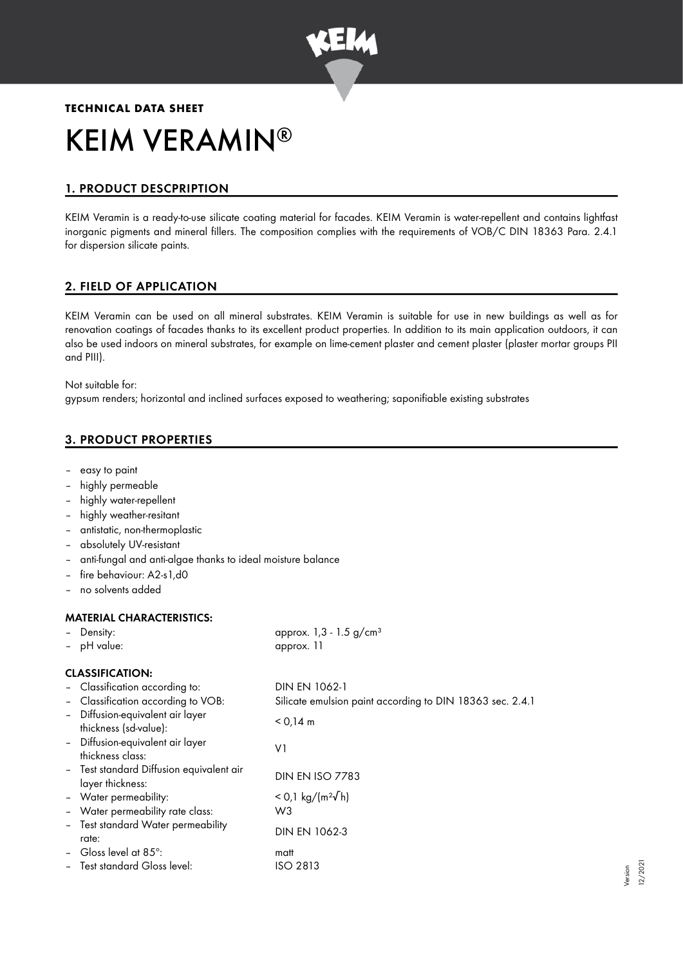

# **TECHNICAL DATA SHEET** KEIM VERAMIN ®

# 1. PRODUCT DESCPRIPTION

KEIM Veramin is a ready-to-use silicate coating material for facades. KEIM Veramin is water-repellent and contains lightfast inorganic pigments and mineral fillers. The composition complies with the requirements of VOB/C DIN 18363 Para. 2.4.1 for dispersion silicate paints.

# 2. FIELD OF APPLICATION

KEIM Veramin can be used on all mineral substrates. KEIM Veramin is suitable for use in new buildings as well as for renovation coatings of facades thanks to its excellent product properties. In addition to its main application outdoors, it can also be used indoors on mineral substrates, for example on lime-cement plaster and cement plaster (plaster mortar groups PII and PIII).

Not suitable for:

gypsum renders; horizontal and inclined surfaces exposed to weathering; saponifiable existing substrates

# 3. PRODUCT PROPERTIES

- easy to paint
- highly permeable
- highly water-repellent
- highly weather-resitant
- antistatic, non-thermoplastic
- absolutely UV-resistant
- anti-fungal and anti-algae thanks to ideal moisture balance
- fire behaviour: A2-s1,d0
- no solvents added

#### MATERIAL CHARACTERISTICS:

| MAILMAL SHAMASILNIYII 59.                                    |                                                           |  |  |  |  |
|--------------------------------------------------------------|-----------------------------------------------------------|--|--|--|--|
| - Density:                                                   | approx. $1,3 - 1.5$ g/cm <sup>3</sup>                     |  |  |  |  |
| - pH value:                                                  | approx. 11                                                |  |  |  |  |
| <b>CLASSIFICATION:</b>                                       |                                                           |  |  |  |  |
| - Classification according to:                               | DIN EN 1062-1                                             |  |  |  |  |
| - Classification according to VOB:                           | Silicate emulsion paint according to DIN 18363 sec. 2.4.1 |  |  |  |  |
| - Diffusion-equivalent air layer<br>thickness (sd-value):    | $< 0.14$ m                                                |  |  |  |  |
| - Diffusion-equivalent air layer<br>thickness class:         | V1                                                        |  |  |  |  |
| - Test standard Diffusion equivalent air<br>layer thickness: | <b>DIN EN ISO 7783</b>                                    |  |  |  |  |
| - Water permeability:                                        | $<$ 0,1 kg/(m <sup>2</sup> √h)                            |  |  |  |  |
| - Water permeability rate class:                             | W3                                                        |  |  |  |  |
| - Test standard Water permeability<br>rate:                  | DIN EN 1062-3                                             |  |  |  |  |
| - Gloss level at 85 $^{\circ}$ :                             | matt                                                      |  |  |  |  |
| - Test standard Gloss level:                                 | ISO 2813                                                  |  |  |  |  |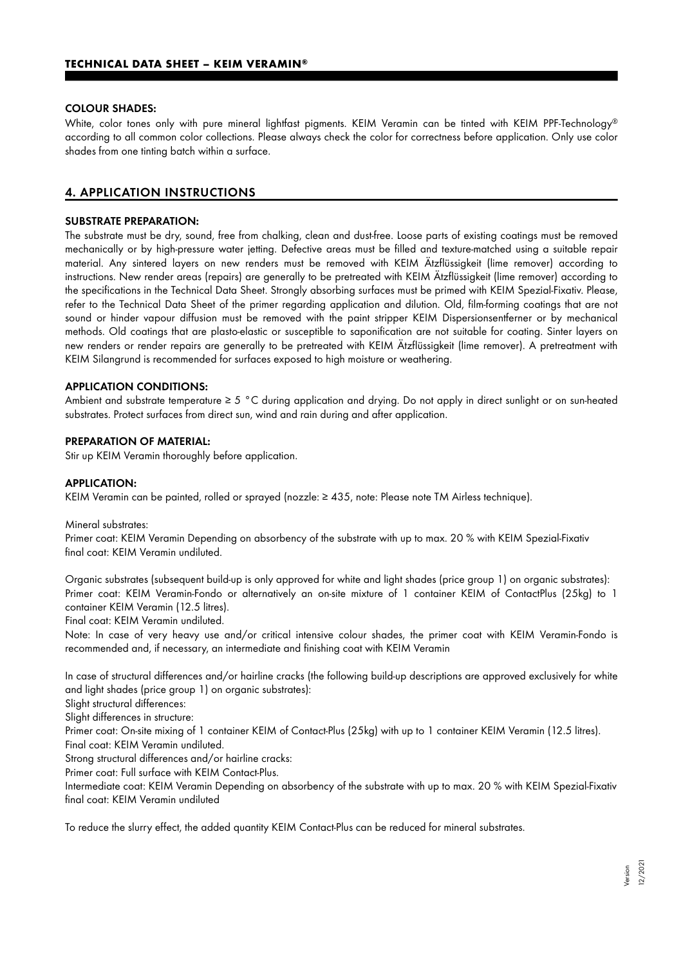#### COLOUR SHADES:

White, color tones only with pure mineral lightfast pigments. KEIM Veramin can be tinted with KEIM PPF-Technology ® according to all common color collections. Please always check the color for correctness before application. Only use color shades from one tinting batch within a surface.

# 4. APPLICATION INSTRUCTIONS

#### SUBSTRATE PREPARATION:

The substrate must be dry, sound, free from chalking, clean and dust-free. Loose parts of existing coatings must be removed mechanically or by high-pressure water jetting. Defective areas must be filled and texture-matched using a suitable repair material. Any sintered layers on new renders must be removed with KEIM Ätzflüssigkeit (lime remover) according to instructions. New render areas (repairs) are generally to be pretreated with KEIM Ätzflüssigkeit (lime remover) according to the specifications in the Technical Data Sheet. Strongly absorbing surfaces must be primed with KEIM Spezial-Fixativ. Please, refer to the Technical Data Sheet of the primer regarding application and dilution. Old, film-forming coatings that are not sound or hinder vapour diffusion must be removed with the paint stripper KEIM Dispersionsentferner or by mechanical methods. Old coatings that are plasto-elastic or susceptible to saponification are not suitable for coating. Sinter layers on new renders or render repairs are generally to be pretreated with KEIM Ätzflüssigkeit (lime remover). A pretreatment with KEIM Silangrund is recommended for surfaces exposed to high moisture or weathering.

#### APPLICATION CONDITIONS:

Ambient and substrate temperature ≥ 5 °C during application and drying. Do not apply in direct sunlight or on sun-heated substrates. Protect surfaces from direct sun, wind and rain during and after application.

#### PREPARATION OF MATERIAL:

Stir up KEIM Veramin thoroughly before application.

#### APPLICATION:

KEIM Veramin can be painted, rolled or sprayed (nozzle: ≥ 435, note: Please note TM Airless technique).

Mineral substrates:

Primer coat: KEIM Veramin Depending on absorbency of the substrate with up to max. 20 % with KEIM Spezial-Fixativ final coat: KEIM Veramin undiluted.

Organic substrates (subsequent build-up is only approved for white and light shades (price group 1) on organic substrates): Primer coat: KEIM Veramin-Fondo or alternatively an on-site mixture of 1 container KEIM of ContactPlus (25kg) to 1 container KEIM Veramin (12.5 litres).

Final coat: KEIM Veramin undiluted.

Note: In case of very heavy use and/or critical intensive colour shades, the primer coat with KEIM Veramin-Fondo is recommended and, if necessary, an intermediate and finishing coat with KEIM Veramin

In case of structural differences and/or hairline cracks (the following build-up descriptions are approved exclusively for white and light shades (price group 1) on organic substrates):

Slight structural differences:

Slight differences in structure:

Primer coat: On-site mixing of 1 container KEIM of Contact-Plus (25kg) with up to 1 container KEIM Veramin (12.5 litres). Final coat: KEIM Veramin undiluted.

Strong structural differences and/or hairline cracks:

Primer coat: Full surface with KEIM Contact-Plus.

Intermediate coat: KEIM Veramin Depending on absorbency of the substrate with up to max. 20 % with KEIM Spezial-Fixativ final coat: KEIM Veramin undiluted

To reduce the slurry effect, the added quantity KEIM Contact-Plus can be reduced for mineral substrates.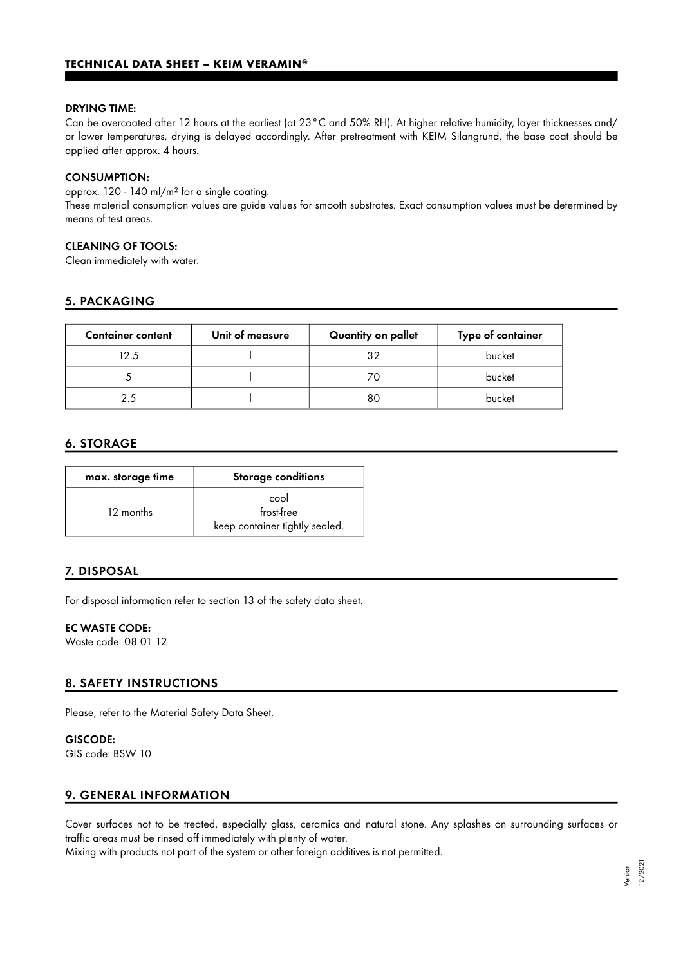#### DRYING TIME:

Can be overcoated after 12 hours at the earliest (at 23°C and 50% RH). At higher relative humidity, layer thicknesses and/ or lower temperatures, drying is delayed accordingly. After pretreatment with KEIM Silangrund, the base coat should be applied after approx. 4 hours.

#### CONSUMPTION:

approx. 120 - 140 ml/m² for a single coating.

These material consumption values are guide values for smooth substrates. Exact consumption values must be determined by means of test areas.

#### CLEANING OF TOOLS:

Clean immediately with water.

# 5. PACKAGING

| <b>Container content</b> | Unit of measure | Quantity on pallet | Type of container |
|--------------------------|-----------------|--------------------|-------------------|
| 12.5                     |                 | 32                 | bucket            |
|                          |                 |                    | bucket            |
| っち                       |                 | 80                 | bucket            |

#### 6. STORAGE

| max. storage time | <b>Storage conditions</b>                            |
|-------------------|------------------------------------------------------|
| 12 months         | cool<br>frost-free<br>keep container tightly sealed. |

# 7. DISPOSAL

For disposal information refer to section 13 of the safety data sheet.

#### EC WASTE CODE:

Waste code: 08 01 12

# 8. SAFETY INSTRUCTIONS

Please, refer to the Material Safety Data Sheet.

# GISCODE:

GIS code: BSW 10

# 9. GENERAL INFORMATION

Cover surfaces not to be treated, especially glass, ceramics and natural stone. Any splashes on surrounding surfaces or traffic areas must be rinsed off immediately with plenty of water.

Mixing with products not part of the system or other foreign additives is not permitted.